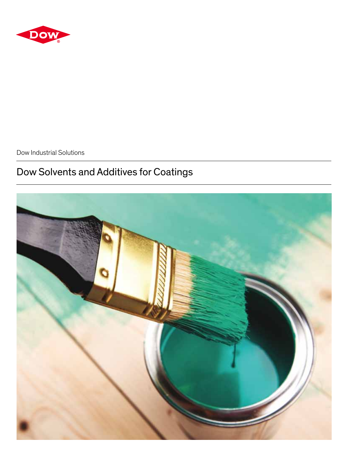

Dow Industrial Solutions

# Dow Solvents and Additives for Coatings

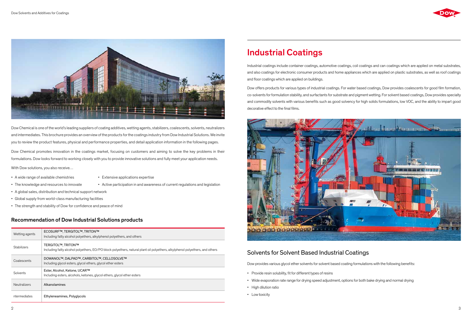

Dow Chemical is one of the world's leading suppliers of coating additives, wetting agents, stabilizers, coalescents, solvents, neutralizers and intermediates. This brochure provides an overview of the products for the coatings industry from Dow Industrial Solutions. We invite you to review the product features, physical and performance properties, and detail application information in the following pages.

Dow Chemical promotes innovation in the coatings market, focusing on customers and aiming to solve the key problems in their formulations. Dow looks forward to working closely with you to provide innovative solutions and fully meet your application needs.

With Dow solutions, you also receive…

- A wide range of available chemistries Extensive applications expertise
	-
- The knowledge and resources to innovate Active participation in and awareness of current regulations and legislation
	-
- A global sales, distribution and technical support network
- • Global supply from world-class manufacturing facilities
- The strength and stability of Dow for confidence and peace of mind

Dow offers products for various types of industrial coatings. For water based coatings, Dow provides coalescents for good film formation, co-solvents forformulation stability, and surfactants for substrate and pigmentwetting. For solvent based coatings, Dowprovides specialty and commodity solvents with various benefits such as good solvency for high solids formulations, low VOC, and the ability to impart good decorative effect to the final films.



# Industrial Coatings

# Solvents for Solvent Based Industrial Coatings

Dow provides various glycol ether solvents for solvent based coating formulations with the following benefits:

- Provide resin solubility, fit for different types of resins
- • Wide evaporation rate range for drying speed adjustment, options for both bake drying and normal drying
- High dilution ratio
- Low toxicity



Industrial coatings include container coatings, automotive coatings, coil coatings and can coatings which are applied on metal substrates, and also coatings for electronic consumer products and home appliances which are applied on plastic substrates, as well as roof coatings and floor coatings which are applied on buildings.

| Wetting agents      | ECOSURF™, TERGITOL™, TRITON™<br>Including fatty alcohol polyethers, alkylphenol polyethers, and others                                                    |
|---------------------|-----------------------------------------------------------------------------------------------------------------------------------------------------------|
| <b>Stabilizers</b>  | <b>TERGITOL™, TRITON™</b><br>Including fatty alcohol polyethers, EO/PO block polyethers, natural plant oil polyethers, alkylphenol polyethers, and others |
| Coalescents         | DOWANOL™, DALPAD™, CARBITOL™, CELLOSOLVE™<br>Including glycol esters, glycol ethers, glycol ether esters                                                  |
| Solvents            | Ester, Alcohol, Ketone, UCAR™<br>Including esters, alcohols, ketones, glycol ethers, glycol ether esters                                                  |
| <b>Neutralizers</b> | Alkanolamines                                                                                                                                             |
| ntermediates        | Ethyleneamines, Polyglycols                                                                                                                               |

## Recommendation of Dow Industrial Solutions products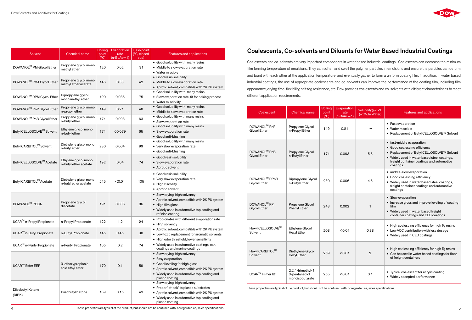|                             |                                               | <b>Boiling</b> |                     |                                   |                                                                           |
|-----------------------------|-----------------------------------------------|----------------|---------------------|-----------------------------------|---------------------------------------------------------------------------|
| <b>Solvent</b>              | <b>Chemical name</b>                          | point          | Evaporation<br>rate | <b>Flash point</b><br>(°C, closed | <b>Features and applications</b>                                          |
|                             |                                               | $(^{\circ}C)$  | $(n-BuAc=1)$        | cup)                              |                                                                           |
|                             | Propylene glycol mono                         |                |                     |                                   | • Good solubility with many resins                                        |
| DOWANOL™ PM Glycol Ether    | methyl ether                                  | 120            | 0.62                | 31                                | • Middle to slow evaporation rate                                         |
|                             |                                               |                |                     |                                   | • Water miscible                                                          |
| DOWANOL™ PMA Glycol Ether   | Propylene glycol mono                         | 146            | 0.33                | 42                                | • Good resin solubility<br>• Middle to slow evaporation rate              |
|                             | methyl ether acetate                          |                |                     |                                   | • Aprotic solvent, compatible with 2K PU system                           |
|                             |                                               |                |                     |                                   | • Good solubility with many resins                                        |
| DOWANOL™ DPM Glycol Ether   | Dipropylene glycol                            | 190            | 0.035               | 75                                | • Slow evaporation rate, fit for baking process                           |
|                             | mono methyl ether                             |                |                     |                                   | • Water miscibility                                                       |
|                             | Propylene glycol mono                         |                |                     |                                   | • Good solubility with many resins                                        |
| DOWANOL™ PnP Glycol Ether   | n-propyl ether                                | 149            | 0.21                | 48                                | • Middle to slow evaporation rate                                         |
| DOWANOL™ PnB Glycol Ether   | Propylene glycol mono                         |                |                     |                                   | • Good solubility with many resins                                        |
|                             | n-butyl ether                                 | 171            | 0.093               | 63                                | • Slow evaporation rate                                                   |
|                             | Ethylene glycol mono                          |                |                     |                                   | • Good solubility with many resins                                        |
| Butyl CELLOSOLVE™ Solvent   | n-butyl ether                                 | 171            | 00.079              | 65                                | • Slow evaporation rate                                                   |
|                             |                                               |                |                     |                                   | • Good anti-blushing                                                      |
|                             | Diethylene glycol mono                        |                |                     |                                   | • Good solubility with many resins                                        |
| Butyl CARBITOL™ Solvent     | n-butyl ether                                 | 230            | 0.004               | 99                                | • Very slow evaporation rate                                              |
|                             |                                               |                |                     |                                   | • Good anti-blushing                                                      |
|                             |                                               |                |                     |                                   | • Good resin solubility                                                   |
| Butyl CELLOSOLVE™ Acetate   | Ethylene glycol mono<br>n-butyl ether acetate | 192            | 0.04                | 74                                | • Slow evaporation rate                                                   |
|                             |                                               |                |                     |                                   | • Aprotic solvent                                                         |
|                             |                                               |                |                     |                                   | • Good resin solubility                                                   |
| Butyl CARBITOL™ Acetate     | Diethylene glycol mono                        |                |                     | 105                               | • Very slow evaporation rate                                              |
|                             | n-butyl ether acetate                         | 245            | < 0.01              |                                   | • High viscosity                                                          |
|                             |                                               |                |                     |                                   | • Aprotic solvent                                                         |
|                             |                                               |                |                     |                                   | • Slow drying, high solvency                                              |
|                             | Propylene glycol                              |                |                     |                                   | • Aprotic solvent, compatible with 2K PU system                           |
| DOWANOL™ PGDA               | diacetate                                     | 191            | 0.036               | 86                                | • High film gloss                                                         |
|                             |                                               |                |                     |                                   | • Widely used in automotive top coating and                               |
|                             |                                               |                |                     |                                   | refinish coating                                                          |
| UCAR™ n-Propyl Propionate   | n-Propyl Propionate                           | 122            | 1.2                 | 24                                | • Propionates with different evaporation rate                             |
|                             |                                               |                |                     |                                   | • High solvency                                                           |
| UCAR™ n-Butyl Propionate    | n-Butyl Propionate                            | 145            | 0.45                | 38                                | • Aprotic solvent, compatible with 2K PU system                           |
|                             |                                               |                |                     |                                   | • Low toxic replacement for aromatic solvents                             |
|                             |                                               |                |                     |                                   | • High odor threshold, lower sensitivity                                  |
| UCAR™ n-Pentyl Propionate   | n-Pentyl Propionate                           | 165            | 0.2                 | 74                                | • Widely used in automotive coatings, can<br>coatings and marine coatings |
|                             |                                               |                |                     |                                   | · Slow drying, high solvency                                              |
|                             |                                               |                |                     |                                   | • Easy evaporation                                                        |
| UCAR <sup>™</sup> Ester EEP | 3-ethoxypropionic                             | 170            | 0.1                 | 59                                | • Good leveling for high gloss                                            |
|                             | acid ethyl ester                              |                |                     |                                   | • Aprotic solvent, compatible with 2K PU system                           |
|                             |                                               |                |                     |                                   | • Widely used in automotive top coating and                               |
|                             |                                               |                |                     |                                   | plastic coating                                                           |
|                             |                                               |                |                     |                                   | • Slow drying, high solvency                                              |
| Diisobutyl Ketone           |                                               |                |                     |                                   | • Proper "attack" to plastic substrates                                   |
| (DIBK)                      | Diisobutyl Ketone                             | 169            | 0.15                | 49                                | • Aprotic solvent, compatible with 2K PU system                           |
|                             |                                               |                |                     |                                   | • Widely used in automotive top coating and<br>plastic coating            |

# Coalescents, Co-solvents and Diluents for Water Based Industrial Coatings

Coalescents and co-solvents are very important components in water based industrial coatings. Coalescents can decrease the minimum film forming temperature of emulsions. They can soften and swell the polymer particles in emulsions and ensure the particles can deform and bond with each other at the application temperature, and eventually gather to form a uniform coating film. In addition, in water based industrial coatings, the use of appropriate coalescents and co-solvents can improve the performance of the coating film, including film appearance, drying time, flexibility, salt fog resistance, etc. Dow provides coalescents and co-solvents with different characteristics to meet different application requirements.

| Coalescent                           | <b>Chemical name</b>                                   | <b>Boiling</b><br>point<br>(C) | Evaporation<br>rate<br>$(n-BuAc=1)$ | Solubility@25°C<br>(wt%, In Water) | <b>Features and applications</b>                                                                                                                                                                                  |
|--------------------------------------|--------------------------------------------------------|--------------------------------|-------------------------------------|------------------------------------|-------------------------------------------------------------------------------------------------------------------------------------------------------------------------------------------------------------------|
| DOWANOL™ PnP<br><b>Glycol Ether</b>  | Propylene Glycol<br>n-Propyl Ether                     | 149                            | 0.21                                | $\infty$                           | • Fast evaporation<br>• Water miscible<br>● Replacement of Butyl CELLOSOLVE™ Solvent                                                                                                                              |
| DOWANOL™ PnB<br><b>Glycol Ether</b>  | Propylene Glycol<br>n-Butyl Ether                      | 171                            | 0.093                               | 5.5                                | • fast-middle evaporation<br>• Good coalescing efficiency<br>● Replacement of Butyl CELLOSOLVE™ Solvent<br>• Widely used in water based steel coatings,<br>freight container coatings and automotive<br>coatings. |
| DOWANOL™ DPnB<br><b>Glycol Ether</b> | Dipropylene Glycol<br>n-Butyl Ether                    | 230                            | 0.006                               | 4.5                                | · middle-slow evaporation<br>• Good coalescing efficiency<br>• Widely used in water based steel coatings,<br>freight container coatings and automotive<br>coatings                                                |
| DOWANOL™ PPh<br><b>Glycol Ether</b>  | Propylene Glycol<br>Phenyl Ether                       | 243                            | 0.002                               | $\mathbf{1}$                       | • Slow evaporation<br>• Increase gloss and improve leveling of coating<br>film<br>• Widely used in water based freight<br>container coatings and CED coatings                                                     |
| Hexyl CELLOSOLVE™<br>Solvent         | Ethylene Glycol<br>Hexyl Ether                         | 208                            | < 0.01                              | 0.88                               | • High coalescing efficiency for high Tg resins<br>• Low VOC contribution with less dosage<br>• Widely used in CED coatings                                                                                       |
| Hexyl CARBITOL™<br>Solvent           | Diethylene Glycol<br><b>Hexyl Ether</b>                | 259                            | < 0.01                              | $\overline{2}$                     | • High coalescing efficiency for high Tg resins<br>• Can be used in water based coatings for floor<br>of freight containers                                                                                       |
| UCAR <sup>™</sup> Filmer IBT         | 2,2,4-trimethyl-1,<br>3-pentanediol<br>monoisobutyrate | 255                            | < 0.01                              | 0.1                                | Typical coalescent for acrylic coating<br>$\bullet$<br>• Widely accepted performance                                                                                                                              |

These properties are typical of the product, but should not be confused with, or regarded as, sales specifications.

 $4$  and these properties are typical of the product, but should not be confused with, or regarded as, sales specifications.  $5$ 

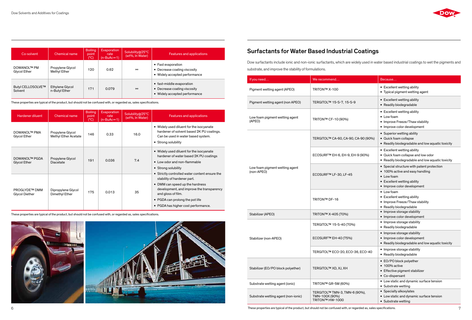| Hardener diluent                            | <b>Chemical name</b>                            | <b>Boiling</b><br>point<br>(C) | Evaporation<br>rate<br>$(n-BuAc=1)$ | Solubility@25°C<br>(wt%, In Water) | Features and applications                                                                                                                                                                                   |
|---------------------------------------------|-------------------------------------------------|--------------------------------|-------------------------------------|------------------------------------|-------------------------------------------------------------------------------------------------------------------------------------------------------------------------------------------------------------|
| <b>DOWANOL™ PMA</b><br><b>Glycol Ether</b>  | Propylene Glycol<br><b>Methyl Ether Acetate</b> | 146                            | 0.33                                | 16.0                               | • Widely used diluent for the isocyanate<br>hardener of solvent based 2K PU coatings.<br>Can be used in water based system.<br>• Strong solubility                                                          |
| <b>DOWANOL™ PGDA</b><br><b>Glycol Ether</b> | Propylene Glycol<br><b>Diacetate</b>            | 191                            | 0.036                               | 7.4                                | • Widely used diluent for the isocyanate<br>hardener of water based 2K PU coatings<br>• Low odor and non-flammable<br>• Strong solubility<br>• Strictly controlled water content ensure the                 |
| <b>PROGLYDE™ DMM</b><br>Glycol Diether      | Dipropylene Glycol<br>Dimethyl Ether            | 175                            | 0.013                               | 35                                 | stability of hardener part.<br>• DMM can speed up the hardness<br>development, and improve the transparency<br>and gloss of film.<br>• PGDA can prolong the pot life<br>• PGDA has higher cost performance. |

# Surfactants for Water Based Industrial Coatings

Dow surfactants include ionic and non-ionic surfactants, which are widely used in water based industrial coatings to wet the pigments and substrate, and improve the stability of formulations.

| If you need                                                                                               | We recommend                                 | Because                                                                                                                                                   |
|-----------------------------------------------------------------------------------------------------------|----------------------------------------------|-----------------------------------------------------------------------------------------------------------------------------------------------------------|
| Pigment wetting agent (APEO)                                                                              | TRITON™ X-100                                | • Excellent wetting ability<br>• Typical pigment wetting agent                                                                                            |
| Pigment wetting agent (non APEO)                                                                          | TERGITOL™ 15-S-7, 15-S-9                     | • Excellent wetting ability<br>• Readily biodegradable                                                                                                    |
| Low foam pigment wetting agent<br>TRITON™ CF-10 (90%)<br>(APEO)                                           |                                              | • Excellent wetting ability<br>• Low foam<br>• Improve Freeze/Thaw stability<br>• Improve color development                                               |
|                                                                                                           | TERGITOL™ CA-60, CA-90, CA-90 (90%)          | • Superior wetting ability<br>• Quick foam collapse<br>• Readily biodegradable and low aquatic toxicity                                                   |
| Low foam pigment wetting agent<br>(non-APEO)                                                              | ECOSURF <sup>TM</sup> EH-6, EH-9, EH-9 (90%) | • Excellent wetting ability<br>• Quick foam collapse and low odor<br>• Readily biodegradable and low aquatic toxicity                                     |
|                                                                                                           | ECOSURF™ LF-30, LF-45                        | • Special structure with patent protection<br>• 100% active and easy handling<br>• Low foam<br>• Excellent wetting ability<br>• Improve color development |
|                                                                                                           | TRITON™ DF-16                                | • Low foam<br>• Excellent wetting ability<br>• Improve Freeze/Thaw stability<br>• Readily biodegradable                                                   |
| Stabilizer (APEO)<br>TRITON™ X-405 (70%)                                                                  |                                              | • Improve storage stability<br>• Improve color development                                                                                                |
|                                                                                                           | TERGITOL™ 15-S-40 (70%)                      | • Improve storage stability<br>• Readily biodegradable                                                                                                    |
| Stabilizer (non-APEO)                                                                                     | ECOSURF™ EH-40 (75%)                         | • Improve storage stability<br>• Improve color development<br>• Readily biodegradable and low aquatic toxicity                                            |
|                                                                                                           | TERGITOL™ ECO-20, ECO-36, ECO-40             | • Improve storage stability<br>• Readily biodegradable                                                                                                    |
| Stabilizer (EO/PO block polyether)                                                                        | TERGITOL™ XD, XJ, XH                         | • EO/PO block polyether<br>• 100% active<br>• Effective pigment stabilizer<br>• Co-dispersant                                                             |
| Substrate wetting agent (ionic)                                                                           | TRITON™ GR-5M (60%)                          | • Low static and dynamic surface tension<br>• Substrate wetting                                                                                           |
| TERGITOL™ TMN-3, TMN-6 (90%),<br>Substrate wetting agent (non-ionic)<br>TMN-100X (90%)<br>TRITON™ HW-1000 |                                              | • Specialty alkoxylates<br>• Low static and dynamic surface tension<br>• Substrate wetting                                                                |

| Co-solvent                         | Chemical name                    | <b>Boiling</b><br>point<br>$(^{\circ}C)$ | Evaporation<br>rate<br>$(n-BuAc=1)$ | Solubility@25°C<br>(wt%, In Water) | Features and applications                                                                  |
|------------------------------------|----------------------------------|------------------------------------------|-------------------------------------|------------------------------------|--------------------------------------------------------------------------------------------|
| <b>DOWANOL™ PM</b><br>Glycol Ether | Propylene Glycol<br>Methyl Ether | 120                                      | 0.62                                | $\infty$                           | • Fast evaporation<br>• Decrease coating viscosity<br>• Widely accepted performance        |
| Butyl CELLOSOLVE™<br>Solvent       | Ethylene Glycol<br>n-Butyl Ether | 171                                      | 0.079                               | $\infty$                           | • fast-middle evaporation<br>• Decrease coating viscosity<br>• Widely accepted performance |

These properties are typical of the product, but should not be confused with, or regarded as, sales specifications.

These properties are typical of the product, but should not be confused with, or regarded as, sales specifications.





6 These properties are typical of the product, but should not be confused with, or regarded as, sales specifications. 7

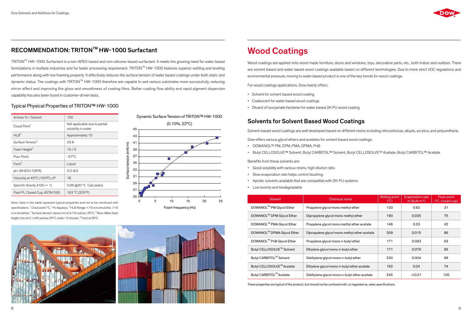# RECOMMENDATION: TRITONTM HW-1000 Surfactant

### Typical Physical Properties of TRITON™ HW-1000

TRITONTM HW-1000 Surfactant is a non-APEO based and non-silicone-based surfactant. It meets the growing need for water based formulations in multiple industries and for faster processing requirement. TRITON™ HW-1000 features superior wetting and leveling performance along with low foaming property. It effectively reduces the surface tension of water based coatings under both static and dynamic status. The coatings with TRITON™ HW-1000 therefore are capable to wet various substrates more successfully, reducing mirror effect and improving the gloss and smoothness of coating films. Better coating flow ability and rapid pigment dispersion capability has also been found in customer-driven tests.

Note: Date in this table represent typical properties and not to be construed with specifications. <sup>1</sup> Cloud point: °C, 1% Aqueous, <sup>2</sup> HLB Range: <10 w/o emulsifier, >10 o/w emulsifier, <sup>3</sup> Surface tension: dynes/cm at 0.1% actives, 25°C, <sup>4</sup> Ross-Miles foam height: mm at 0.1 wt% actives 25°C, initial / 5 minutes, <sup>5</sup> Form at 25°C

| Actives % / Solvent            | 100                                                  |
|--------------------------------|------------------------------------------------------|
| Cloud Point <sup>1</sup>       | Not applicable due to partial<br>solubility in water |
| HI $R^2$                       | Approximately 10                                     |
| Surface Tension <sup>3</sup>   | 25.8                                                 |
| Foam Height <sup>4</sup>       | 15/5                                                 |
| Pour Point                     | $-57^{\circ}$ C                                      |
| Form <sup>5</sup>              | Liquid                                               |
| pH, (6H2O+10IPA)               | $5.0 - 8.0$                                          |
| Viscosity at 40°C (104°F), cP  | 18                                                   |
| Specific Gravity ( $H2O = 1$ ) | 0.96 @20 °C Calculated.                              |
| Flast Pt, Closed Cup, ASTM D93 | 163 °C (325°F)                                       |

- • Good solubilitywith various resins, high dilution ratio
- Slow evaporation rate helps control blushing
- • Aprotic solvents available that are compatible with 2K-PU systems
- Low toxicity and biodegradable





# Wood Coatings

Wood coatings are applied onto wood made furniture, doors and windows, toys, decorative parts, etc., both indoor and outdoor. There are solvent based and water based wood coatings available based on different technologies. Due to more strict VOC regulations and environmental pressure, moving to water based product is one of the key trends for wood coatings.

For wood coatings applications, Dow mainly offers:

- Solvent for solvent based wood coating
- Coalescent for water based wood coatings
- Diluent of isocyanate hardener for water based 2K PU wood coating

# Solvents for Solvent Based Wood Coatings

Solvent-based wood coatings are well developed based on different resins including nitrocellulose, alkyds, acrylics, and polyurethane.

Dow offers various glycol ethers and acetates for solvent based wood coatings.

- • DOWANOL™ PM, DPM, PMA, DPMA, PnB
- • Butyl CELLOSOLVE™ Solvent, Butyl CARBITOL™ Solvent, Butyl CELLOSOLVE™ Acetate, Butyl CARBITOL™ Acetate

Benefits from these solvents are:

| Solvent                                | Chemical name                                | <b>Boiling point</b><br>(°C) | <b>Evaporation rate</b><br>$(n-BuAc=1)$ | Flash point<br>(°C, closed cup) |
|----------------------------------------|----------------------------------------------|------------------------------|-----------------------------------------|---------------------------------|
| DOWANOL™ PM Glycol Ether               | Propylene glycol mono methyl ether           | 120                          | 0.62                                    | 31                              |
| DOWANOL™ DPM Glycol Ether              | Dipropylene glycol mono methyl ether         | 190                          | 0.035                                   | 75                              |
| DOWANOL <sup>™</sup> PMA Glycol Ether  | Propylene glycol mono methyl ether acetate   | 146                          | 0.33                                    | 42                              |
| DOWANOL <sup>™</sup> DPMA Glycol Ether | Dipropylene glycol mono methyl ether acetate | 209                          | 0.015                                   | 86                              |
| DOWANOL <sup>™</sup> PnB Glycol Ether  | Propylene glycol mono n-butyl ether          | 171                          | 0.093                                   | 63                              |
| Butyl CELLOSOLVE™ Solvent              | Ethylene glycol mono n-butyl ether           | 171                          | 0.079                                   | 65                              |
| Butyl CARBITOL™ Solvent                | Diethylene glycol mono n-butyl ether         | 230                          | 0.004                                   | 99                              |
| Butyl CELLOSOLVE™ Acetate              | Ethylene glycol mono n-butyl ether acetate   | 192                          | 0.04                                    | 74                              |
| Butyl CARBITOL™ Acetate                | Diethylene glycol mono n-butyl ether acetate | 245                          | < 0.01                                  | 105                             |

These properties are typical of the product, but should not be confused with, or regarded as, sales specifications.

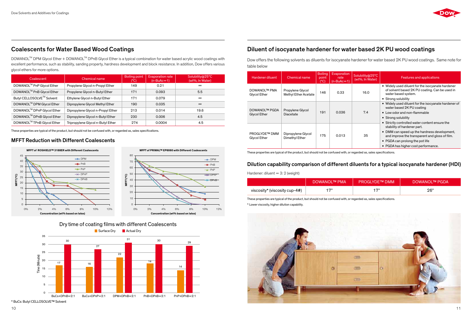| <b>Hardener diluent</b>                     | <b>Chemical name</b>                            | <b>Boiling</b><br>point<br>$(^{\circ}C)$ | Evaporation<br>rate<br>$(n-BuAc=1)$ | Solubility@25°C<br>(wt%, In Water) | Features and applications                                                                                                  |
|---------------------------------------------|-------------------------------------------------|------------------------------------------|-------------------------------------|------------------------------------|----------------------------------------------------------------------------------------------------------------------------|
| <b>DOWANOL™ PMA</b><br><b>Glycol Ether</b>  | Propylene Glycol<br><b>Methyl Ether Acetate</b> | 146                                      | 0.33                                | 16.0                               | • Widely used diluent for the isocyanate hardener<br>of solvent based 2K PU coating. Can be used in<br>water based system. |
|                                             |                                                 |                                          |                                     |                                    | • Strong solubility                                                                                                        |
| <b>DOWANOL™ PGDA</b>                        |                                                 |                                          |                                     |                                    | • Widely used diluent for the isocyanate hardener of<br>water based 2K PU coating                                          |
| <b>Glycol Ether</b>                         | Propylene Glycol<br>Diacetate                   | 191                                      | 0.036                               | 7.4                                | • Low odor and non-flammable                                                                                               |
|                                             |                                                 |                                          |                                     |                                    | • Strong solubility                                                                                                        |
|                                             |                                                 |                                          |                                     |                                    | • Strictly controlled water content ensure the<br>stability of hardener part.                                              |
| <b>PROGLYDE™ DMM</b><br><b>Glycol Ether</b> | Dipropylene Glycol<br>Dimethyl Ether            | 175                                      | 0.013                               | 35                                 | • DMM can speed up the hardness development,<br>and improve the transparent and gloss of film.                             |
|                                             |                                                 |                                          |                                     |                                    | • PGDA can prolong the pot life                                                                                            |
|                                             |                                                 |                                          |                                     |                                    | • PGDA has higher cost performance.                                                                                        |

Dow offers the following solvents as diluents for isocyanate hardener for water based 2K PU wood coatings. Same note for table below

DOWANOL<sup>™</sup> DPM Glycol Ether + DOWANOL<sup>™</sup> DPnB Glycol Ether is a typical combination for water based acrylic wood coatings with excellent performance, such as stability, sanding property, hardness development and block resistance. In addition, Dow offers various glycol ethers for more options.

# Dilution capability comparison of different diluents for a typical isocyanate hardener (HDI)

Hardener: diluent  $= 3: 2$  (weight)





# Diluent of isocyanate hardener for water based 2K PU wood coatings

| . 75<br>- 73 |                               | I DOWANOL™ PMA' | ′ PROGLYDE™ DMM . | <b>DOWANOLTM PGDA</b> |
|--------------|-------------------------------|-----------------|-------------------|-----------------------|
|              | viscosity* (viscosity cup-4#) |                 |                   | 26"                   |

These properties are typical of the product, but should not be confused with, or regarded as, sales specifications. \* Lower viscosity, higher dilution capability.



# Coalescents for Water Based Wood Coatings





**MFFT (°C)**

ψÈ





| Coalescent                            | Chemical name                     | Boiling point<br>(C) | <b>Evaporation rate</b><br>$(n-BuAc=1)$ | Solubility@25°C<br>(wt%, In Water) |
|---------------------------------------|-----------------------------------|----------------------|-----------------------------------------|------------------------------------|
| DOWANOL™ PnP Glycol Ether             | Propylene Glycol n-Propyl Ether   | 149                  | 0.21                                    | $\infty$                           |
| DOWANOL <sup>™</sup> PnB Glycol Ether | Propylene Glycol n-Butyl Ether    | 171                  | 0.093                                   | 5.5                                |
| Butyl CELLOSOLVE™ Solvent             | Ethylene Glycol n-Butyl Ether     | 171                  | 0.079                                   | $\infty$                           |
| DOWANOL™ DPM Glycol Ether             | Dipropylene Glycol Methyl Ether   | 190                  | 0.035                                   | $\infty$                           |
| DOWANOL™ DPnP Glycol Ether            | Dipropylene Glycol n-Propyl Ether | 213                  | 0.014                                   | 19.6                               |
| DOWANOL™ DPnB Glycol Ether            | Dipropylene Glycol n-Butyl Ether  | 230                  | 0.006                                   | 4.5                                |
| DOWANOL™ TPnB Glycol Ether            | Tripropylene Glycol n-Butyl Ether | 274                  | 0.0004                                  | 4.5                                |

## MFFT Reduction with Different Coalescents

These properties are typical of the product, but should not be confused with, or regarded as, sales specifications.

These properties are typical of the product, but should not be confused with, or regarded as, sales specifications.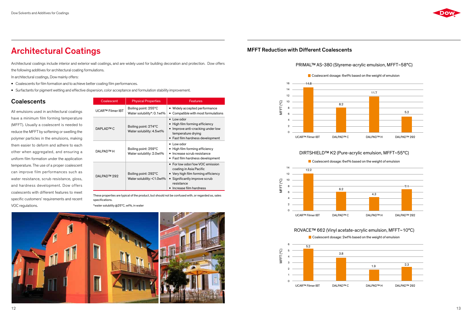# Architectural Coatings

Architectural coatings include interior and exterior wall coatings, and are widely used for building decoration and protection. Dow offers

the following additives for architectural coating formulations.

- Coalescents for film formation and to achieve better coating film performances.
- • Surfactants for pigment wetting and effective dispersion, color acceptance and formulation stability improvement.

## **Coalescents**

In architectural coatings, Dow mainly offers:

All emulsions used in architectural coatings have a minimum film forming temperature (MFFT). Usually a coalescent is needed to reduce the MFFT by softening or swelling the polymer particles in the emulsions, making them easier to deform and adhere to each other when aggregated, and ensuring a uniform film formation under the application temperature. The use of a proper coalescent can improve film performances such as water resistance, scrub resistance, gloss, and hardness development. Dow offers coalescents with different features to meet specific customers' requirements and recent VOC regulations.

| Coalescent               | <b>Physical Properties</b>                                   | <b>Features</b>                                                                                                                                                            |
|--------------------------|--------------------------------------------------------------|----------------------------------------------------------------------------------------------------------------------------------------------------------------------------|
| <b>UCARTM Filmer IBT</b> | Boiling point: 255°C<br>Water solubility*: 0.1wt%            | • Widely accepted performance<br>• Compatible with most formulations                                                                                                       |
| DAPI AD™ C               | Boiling point: 274°C<br>Water solubility: 4.5wt%             | $\bullet$ Low odor<br>High film forming efficiency<br>• Improve anti-cracking under low<br>temperature drying<br>• Fast film hardness development                          |
| <b>DAI PAD™ H</b>        | Boiling point: 259°C<br>Water solubility: 2.0wt%             | $\bullet$ Low odor<br>• High film forming efficiency<br>• Increase scrub resistance<br>• Fast film hardness development                                                    |
| DALPAD™ 292              | Boiling point: 292°C<br>Water solubility: $\leq 1.0$ wt $\%$ | • For low odor/low VOC emission<br>coating in Asia Pacific<br>• Very high film forming efficiency<br>• Significantly improve scrub<br>resistance<br>Increase film hardness |

These properties are typical of the product, but should not be confused with, or regarded as, sales specifications.

\*water solubility @25°C, wt%, in water



## MFFT Reduction with Different Coalescents

# PRIMAL™ AS-380 (Styreme-acrylic emulsion, MFFT~58°C)

### DIRTSHIELD™ K2 (Pure-acrylic emulsion, MFFT~55°C)

### ROVACE™ 662 (Vinyl acetate-acrylic emulsion, MFFT~10°C)

Coalescent dosage: 2wt% based on the weight of emulsion







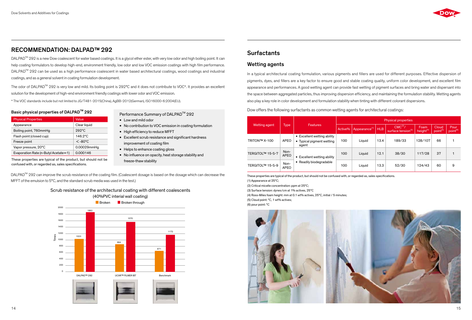# RECOMMENDATION: DALPAD™ 292

DALPAD<sup>™</sup> 292 is a new Dow coalescent for water based coatings. It is a glycol ether ester, with very low odor and high boiling point. It can help coating formulators to develop high-end, environment friendly, low odor and low VOC emission coatings with high film performance. DALPAD<sup>™</sup> 292 can be used as a high performance coalescent in water based architectural coatings, wood coatings and industrial coatings, and as a general solvent in coating formulation development.

The odor of DALPAD<sup>™</sup> 292 is very low and mild. Its boiling point is 292°C and it does not contribute to VOC\*. It provides an excellent solution forthe development of high-end environment friendly coatingswith lower odor and VOC emission.

- Low and mild odor
- No contribution to VOC emission in coating formulation
- High efficiency to reduce MFFT
- Excellent scrub resistance and significant hardness improvement of coating film
- Helps to enhance coating gloss
- No influence on opacity, heat storage stability and freeze-thaw stability

DALPAD<sup>™</sup> 292 can improve the scrub resistance of the coating film. (Coalescent dosage is based on the dosage which can decrease the MFFT of the emulsion to  $5^{\circ}$ C, and the standard scrub media was used in the test.)

\* The VOC standards include but not limited to JG/T481-2015(China), AgBB-2012(German), ISO16000-6:2004(EU).

### Basic physical properties of DALPAD<sup>™</sup> 292

| <b>Physical Properties</b>           | Value        |
|--------------------------------------|--------------|
| Appearance                           | Clear liquid |
| Boiling point, 760mmHg               | $999$ °C     |
| Flash point (closed cup)             | 146.2°C      |
| Freeze point                         | $<$ -80°C    |
| Vapor pressure, 20°C                 | 0.00029mmHg  |
| Evaporation Rate (n-Butyl Acetate=1) | 0.000146     |

## Scrub resistance of the architectural coating with different coalescents



# **Surfactants**

## Wetting agents

In a typical architectural coating formulation, various pigments and fillers are used for different purposes. Effective dispersion of pigments, dyes, and fillers are a key factor to ensure good and stable coating quality, uniform color development, and excellent film appearance and performances. A good wetting agent can provide fast wetting of pigment surfaces and bring water and dispersant into the space between aggregated particles, thus improving dispersion efficiency, and maintaining the formulation stability. Wetting agents also play a key role in color development and formulation stability when tinting with different colorant dispersions.

Dow offers the following surfactants as common wetting agents for architectural coatings:

|                  |                     |                                                                      |         |                                 |      | <b>Physical properties</b>                             |                      |                               |                              |  |  |
|------------------|---------------------|----------------------------------------------------------------------|---------|---------------------------------|------|--------------------------------------------------------|----------------------|-------------------------------|------------------------------|--|--|
| Wetting agent    | <b>Type</b>         | <b>Features</b>                                                      | Active% | Appearance <sup>(1)</sup>   HLB |      | CMC <sup>(2)</sup> /<br>surface tension <sup>(3)</sup> | Foam<br>height $(4)$ | Cloud<br>point <sup>(5)</sup> | Pour<br>point <sup>(6)</sup> |  |  |
| TRITON™ X-100    | <b>APEO</b>         | • Excellent wetting ability<br>Typical pigment wetting<br>٠<br>agent | 100     | Liquid                          | 13.4 | 189/33                                                 | 128/107              | 66                            |                              |  |  |
| TERGITOL™ 15-S-7 | Non-<br><b>APEO</b> | Excellent wetting ability<br>٠                                       | 100     | Liquid                          | 12.1 | 38/30                                                  | 117/28               | 37                            |                              |  |  |
| TERGITOL™ 15-S-9 | Non-<br><b>APEO</b> | Readily biodegradable<br>٠                                           | 100     | Liquid                          | 13.3 | 52/30                                                  | 124/43               | 60                            | 9                            |  |  |

These properties are typical of the product, but should not be

confused with, or regarded as, sales specifications.

Performance Summary of DALPAD<sup>™</sup> 292

These properties are typical of the product, but should not be confused with, or regarded as, sales specifications. (1) Appearance at 25°C;

(2) Critical micelle concentration: ppm at 25°C;

(3) Surface tension: dynes/cm at 1% actives, 25°C

(4) Ross-Miles foam height: mm at 0.1 wt% actives, 25°C, initial / 5 minutes; (5) Cloud point: °C, 1 wt% actives; (6) pour point: °C



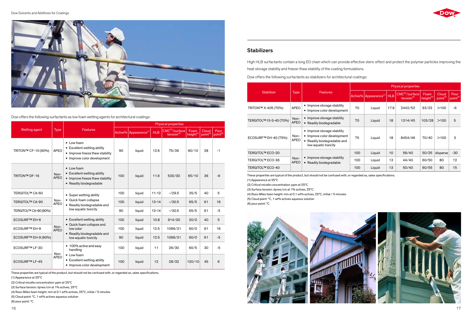

Dow offers the following surfactants as low foam wetting agents for architectural coatings:

These properties are typical of the product, but should not be confused with, or regarded as, sales specifications. (1) Appearance at 25°C

(2) Critical micelle concentration: ppm at 25°C

(3) Surface tension: dynes/cm at 1% actives, 25°C

(4) Ross-Miles foam height: mm at 0.1 wt% actives, 25°C, initial / 5 minutes (5) Cloud point: °C, 1 wt% actives aqueous solution

(6) pour point: °C



High HLB surfactants contain a long EO chain which can provide effective steric effect and protect the polymer particles improving the heat storage stability and freeze-thaw stability of the coating formulations. Dow offers the following surfactants as stabilizers for architectural coatings:

|                        |                     |                                                                                                                   | <b>Physical properties</b> |                                   |            |                                             |                               |                               |                              |  |  |
|------------------------|---------------------|-------------------------------------------------------------------------------------------------------------------|----------------------------|-----------------------------------|------------|---------------------------------------------|-------------------------------|-------------------------------|------------------------------|--|--|
| <b>Stabilizer</b>      | <b>Type</b>         | <b>Features</b>                                                                                                   |                            | Active% Appearance <sup>(1)</sup> | <b>HLB</b> | $CMC^{(2)}/\text{surface}$<br>tension $(3)$ | Foam<br>height <sup>(4)</sup> | Cloud<br>point <sup>(5)</sup> | Pour<br>point <sup>(6)</sup> |  |  |
| TRITON™ X-405 (70%)    | <b>APEO</b>         | • Improve storage stability<br>• Improve color development                                                        | 70                         | Liquid                            | 17.6       | 2442/52                                     | 93/22                         | >100                          | $-6$                         |  |  |
| TERGITOL™15-S-40 (70%) | Non-<br><b>APEO</b> | • Improve storage stability<br>• Readily biodegradable                                                            | 70                         | Liquid                            | 18         | 1314/45                                     | 103/28                        | >100                          | 5                            |  |  |
| ECOSURF™ EH-40 (75%)   | Non-<br><b>APEO</b> | • Improve storage stability<br>• Improve color development<br>• Readily biodegradable and<br>low aquatic toxicity | 75                         | Liquid                            | 18         | 8454/46                                     | 70/40                         | >100                          | 3                            |  |  |
| TERGITOL™ ECO-20       |                     |                                                                                                                   |                            | Liquid                            | 10         | 56/40                                       | 50/25                         | disperse                      | $-30$                        |  |  |
| TERGITOL™ ECO-36       | Non-<br><b>APEO</b> | • Improve storage stability<br>• Readily biodegradable                                                            | 100                        | Liquid                            | 13         | 44/40                                       | 60/50                         | 80                            | 12                           |  |  |
| TERGITOL™ ECO-40       |                     |                                                                                                                   |                            | Liquid                            | 13         | 50/40                                       | 60/55                         | 80                            | 15                           |  |  |

These properties are typical of the product, but should not be confused with, or regarded as, sales specifications.

(1) Appearance at 25°C

(2) Critical micelle concentration: ppm at 25°C

(3) Surface tension: dynes/cm at 1% actives, 25°C

(4) Ross-Miles foam height: mm at 0.1 wt% actives, 25°C, initial / 5 minutes

(5) Cloud point: °C, 1 wt% actives aqueous solution

(6) pour point: °C

# **Stabilizers**

|                       |                     |                                                                                                                 | <b>Physical properties</b> |                                   |            |                                                   |                              |                               |                       |  |  |
|-----------------------|---------------------|-----------------------------------------------------------------------------------------------------------------|----------------------------|-----------------------------------|------------|---------------------------------------------------|------------------------------|-------------------------------|-----------------------|--|--|
| Wetting agent         | <b>Type</b>         | <b>Features</b>                                                                                                 |                            | Active% Appearance <sup>(1)</sup> | <b>HLB</b> | $CMC(2)/\text{surface}$<br>tension <sup>(3)</sup> | Foam<br>height <sup>(4</sup> | Cloud<br>point <sup>(5)</sup> | Pour<br>$point^{(6)}$ |  |  |
| TRITON™ CF-10 (90%)   | <b>APEO</b>         | • Low foam<br>• Excellent wetting ability<br>• Improve freeze thaw stability<br>• Improve color development     | 90                         | liquid                            | 12.6       | 75/36                                             | 60/10                        | 28                            | $-1$                  |  |  |
| <b>TRITON™ DF-16</b>  | Non-<br><b>APEO</b> | $\bullet$ Low foam<br>• Excellent wetting ability<br>• Improve freeze thaw stability<br>• Readily biodegradable | 100                        | liquid                            | 11.6       | 530/30                                            | 65/10                        | 36                            | $-6$                  |  |  |
| TERGITOL™ CA-60       |                     | • Super wetting ability                                                                                         | 100                        | liquid                            | $11 - 12$  | $-729.5$                                          | 35/5                         | 40                            | 5                     |  |  |
| TERGITOL™ CA-90       | Non-<br><b>APEO</b> | • Quick foam collapse<br>• Readily biodegradable and                                                            | 100                        | liquid                            | $13 - 14$  | $-730.5$                                          | 65/5                         | 61                            | 16                    |  |  |
| TERGITOL™ CA-90 (90%) |                     | low aquatic toxicity                                                                                            | 90                         | liquid                            | $13 - 14$  | $-730.5$                                          | 65/5                         | 61                            | $-5$                  |  |  |
| <b>ECOSURF™ EH-6</b>  |                     | • Excellent wetting ability                                                                                     | 100                        | liquid                            | 10.8       | 914/30                                            | 20/0                         | 40                            | 5                     |  |  |
| <b>ECOSURF™ EH-9</b>  | Non-<br><b>APEO</b> | • Quick foam collapse and<br>low odor                                                                           | 100                        | liquid                            | 12.5       | 1066/31                                           | 60/0                         | 61                            | 16                    |  |  |
| ECOSURF™ EH-9 (90%)   |                     | • Readily biodegradable and<br>low aquatic toxicity                                                             | 90                         | liquid                            | 12.5       | 1066/31                                           | 60/0                         | 61                            | $-5$                  |  |  |
| ECOSURF™ LF-30        | Non-                | • 100% active and easy<br>handling                                                                              | 100                        | liquid                            | 11         | 26/30                                             | 60/5                         | 30                            | $-5$                  |  |  |
| <b>ECOSURF™ LF-45</b> | <b>APEO</b>         | • Low foam<br>• Excellent wetting ability<br>• Improve color development                                        | 100                        | liquid                            | 12         | 28/32                                             | 120/10                       | 45                            | 6                     |  |  |